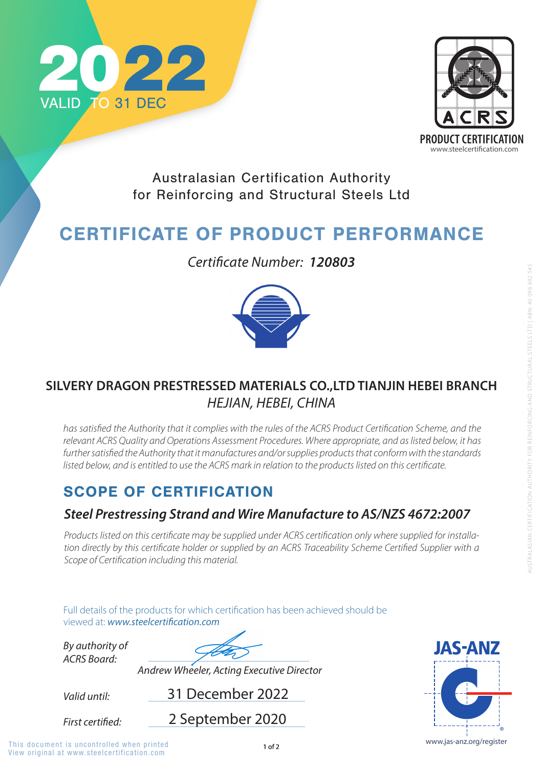

Full details of the products for which certification has been achieved should be viewed at: **www.steelcertification.com** 

## SCOPE OF CERTIFICATION

*Valid until:*

*By authority of ACRS Board:*

31 December 2022

*Andrew Wheeler, Acting Executive Director*



Australasian Certification Authority for Reinforcing and Structural Steels Ltd

# CERTIFICATE OF PRODUCT PERFORMANCE

## *Steel Prestressing Strand and Wire Manufacture to AS/NZS 4672:2007*

*Products listed on this certificate may be supplied under ACRS certification only where supplied for installation directly by this certificate holder or supplied by an ACRS Traceability Scheme Certified Supplier with a Scope of Certification including this material.*





*Certificate Number: 120803*



## **SILVERY DRAGON PRESTRESSED MATERIALS CO.,LTD TIANJIN HEBEI BRANCH** *HEJIAN, HEBEI, CHINA*

has satisfied the Authority that it complies with the rules of the ACRS Product Certification Scheme, and the *relevant ACRS Quality and Operations Assessment Procedures. Where appropriate, and as listed below, it has*  further satisfied the Authority that it manufactures and/or supplies products that conform with the standards *listed below, and is entitled to use the ACRS mark in relation to the products listed on this certificate.* 

2 September 2020

First certified:

View original at www.steelcertification.com This document is uncontrolled when printed and the state of  $1$  of 2 www.jas-anz.org/register